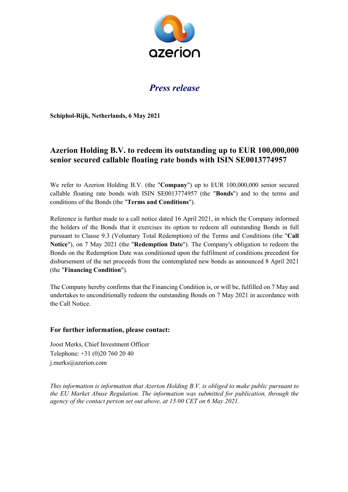

## *Press release*

**Schiphol-Rijk, Netherlands, 6 May 2021**

## **Azerion Holding B.V. to redeem its outstanding up to EUR 100,000,000 senior secured callable floating rate bonds with ISIN SE0013774957**

We refer to Azerion Holding B.V. (the "**Company**") up to EUR 100,000,000 senior secured callable floating rate bonds with ISIN SE0013774957 (the "**Bonds**") and to the terms and conditions of the Bonds (the "**Terms and Conditions**").

Reference is further made to a call notice dated 16 April 2021, in which the Company informed the holders of the Bonds that it exercises its option to redeem all outstanding Bonds in full pursuant to Clause 9.3 (Voluntary Total Redemption) of the Terms and Conditions (the "**Call Notice**"), on 7 May 2021 (the "**Redemption Date**"). The Company's obligation to redeem the Bonds on the Redemption Date was conditioned upon the fulfilment of conditions precedent for disbursement of the net proceeds from the contemplated new bonds as announced 8 April 2021 (the "**Financing Condition**").

The Company hereby confirms that the Financing Condition is, or will be, fulfilled on 7 May and undertakes to unconditionally redeem the outstanding Bonds on 7 May 2021 in accordance with the Call Notice.

## **For further information, please contact:**

Joost Merks, Chief Investment Officer Telephone: +31 (0)20 760 20 40 j.merks@azerion.com

*This information is information that Azerion Holding B.V. is obliged to make public pursuant to the EU Market Abuse Regulation. The information was submitted for publication, through the agency of the contact person set out above, at 15.00 CET on 6 May 2021.*